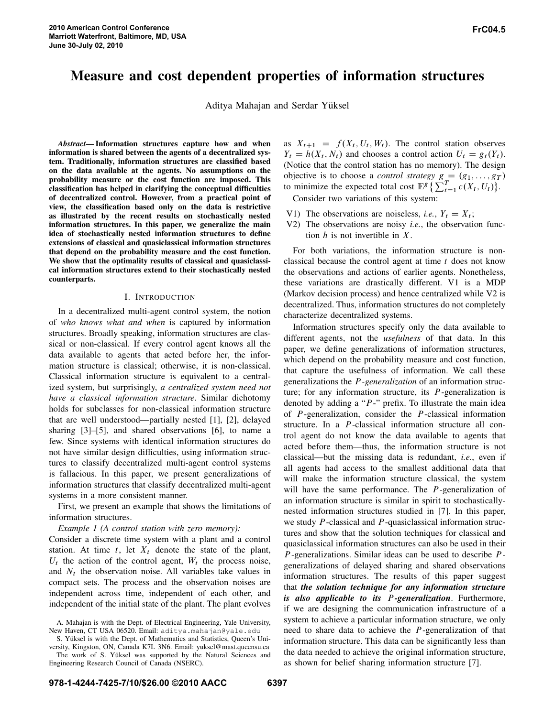Aditya Mahajan and Serdar Yüksel

*Abstract*— Information structures capture how and when information is shared between the agents of a decentralized system. Traditionally, information structures are classified based on the data available at the agents. No assumptions on the probability measure or the cost function are imposed. This classification has helped in clarifying the conceptual difficulties of decentralized control. However, from a practical point of view, the classification based only on the data is restrictive as illustrated by the recent results on stochastically nested information structures. In this paper, we generalize the main idea of stochastically nested information structures to define extensions of classical and quasiclassical information structures that depend on the probability measure and the cost function. We show that the optimality results of classical and quasiclassical information structures extend to their stochastically nested counterparts.

# I. INTRODUCTION

In a decentralized multi-agent control system, the notion of *who knows what and when* is captured by information structures. Broadly speaking, information structures are classical or non-classical. If every control agent knows all the data available to agents that acted before her, the information structure is classical; otherwise, it is non-classical. Classical information structure is equivalent to a centralized system, but surprisingly, *a centralized system need not have a classical information structure*. Similar dichotomy holds for subclasses for non-classical information structure that are well understood—partially nested [1], [2], delayed sharing [3]–[5], and shared observations [6], to name a few. Since systems with identical information structures do not have similar design difficulties, using information structures to classify decentralized multi-agent control systems is fallacious. In this paper, we present generalizations of information structures that classify decentralized multi-agent systems in a more consistent manner.

First, we present an example that shows the limitations of information structures.

*Example 1 (A control station with zero memory):*

Consider a discrete time system with a plant and a control station. At time  $t$ , let  $X_t$  denote the state of the plant,  $U_t$  the action of the control agent,  $W_t$  the process noise, and  $N_t$  the observation noise. All variables take values in compact sets. The process and the observation noises are independent across time, independent of each other, and independent of the initial state of the plant. The plant evolves

S. Yüksel is with the Dept. of Mathematics and Statistics, Queen's University, Kingston, ON, Canada K7L 3N6. Email: yuksel@mast.queensu.ca The work of S. Yüksel was supported by the Natural Sciences and

Engineering Research Council of Canada (NSERC).

as  $X_{t+1} = f(X_t, U_t, W_t)$ . The control station observes  $Y_t = h(X_t, N_t)$  and chooses a control action  $U_t = g_t(Y_t)$ . (Notice that the control station has no memory). The design objective is to choose a *control strategy*  $g = (g_1, \ldots, g_T)$ to minimize the expected total cost  $\mathbb{E}^{g} \left\{ \sum_{t=1}^{T} c(X_t, U_t) \right\}$ .

Consider two variations of this system:

- V1) The observations are noiseless, *i.e.*,  $Y_t = X_t$ ;
- V2) The observations are noisy *i.e.*, the observation function  $h$  is not invertible in  $X$ .

For both variations, the information structure is nonclassical because the control agent at time  $t$  does not know the observations and actions of earlier agents. Nonetheless, these variations are drastically different. V1 is a MDP (Markov decision process) and hence centralized while V2 is decentralized. Thus, information structures do not completely characterize decentralized systems.

Information structures specify only the data available to different agents, not the *usefulness* of that data. In this paper, we define generalizations of information structures, which depend on the probability measure and cost function, that capture the usefulness of information. We call these generalizations the P*-generalization* of an information structure; for any information structure, its  $P$ -generalization is denoted by adding a " $P$ -" prefix. To illustrate the main idea of  $P$ -generalization, consider the  $P$ -classical information structure. In a P-classical information structure all control agent do not know the data available to agents that acted before them—thus, the information structure is not classical—but the missing data is redundant, *i.e.*, even if all agents had access to the smallest additional data that will make the information structure classical, the system will have the same performance. The  $P$ -generalization of an information structure is similar in spirit to stochasticallynested information structures studied in [7]. In this paper, we study  $P$ -classical and  $P$ -quasiclassical information structures and show that the solution techniques for classical and quasiclassical information structures can also be used in their P-generalizations. Similar ideas can be used to describe Pgeneralizations of delayed sharing and shared observations information structures. The results of this paper suggest that *the solution technique for any information structure is also applicable to its* P*-generalization*. Furthermore, if we are designing the communication infrastructure of a system to achieve a particular information structure, we only need to share data to achieve the P-generalization of that information structure. This data can be significantly less than the data needed to achieve the original information structure, as shown for belief sharing information structure [7].

A. Mahajan is with the Dept. of Electrical Engineering, Yale University, New Haven, CT USA 06520. Email: aditya.mahajan@yale.edu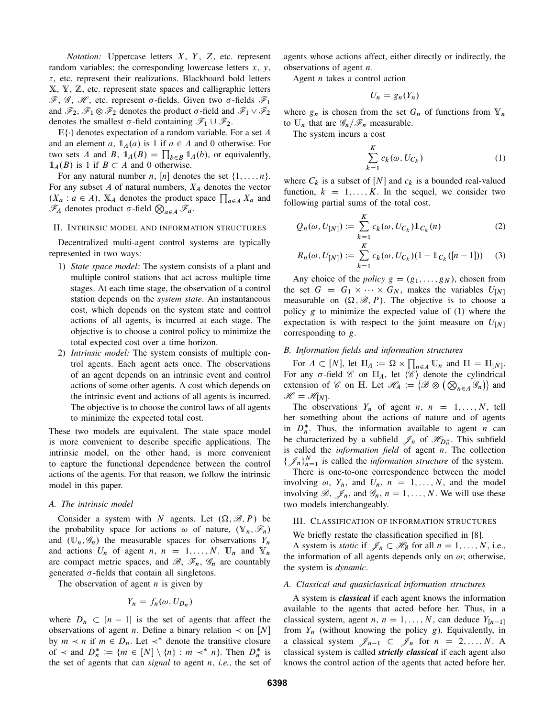*Notation:* Uppercase letters X, Y, Z, etc. represent random variables; the corresponding lowercase letters  $x$ ,  $y$ , z, etc. represent their realizations. Blackboard bold letters X, Y, Z, etc. represent state spaces and calligraphic letters  $\mathscr{F}, \mathscr{G}, \mathscr{H}$ , etc. represent  $\sigma$ -fields. Given two  $\sigma$ -fields  $\mathscr{F}_1$ and  $\mathcal{F}_2$ ,  $\mathcal{F}_1 \otimes \mathcal{F}_2$  denotes the product  $\sigma$ -field and  $\mathcal{F}_1 \vee \mathcal{F}_2$ denotes the smallest  $\sigma$ -field containing  $\mathscr{F}_1 \cup \mathscr{F}_2$ .

 $E\{\cdot\}$  denotes expectation of a random variable. For a set A and an element a,  $\mathbb{1}_A(a)$  is 1 if  $a \in A$  and 0 otherwise. For two sets A and B,  $\mathbb{1}_A(B) = \prod_{b \in B} \mathbb{1}_A(b)$ , or equivalently,  $\mathbb{1}_A(B)$  is 1 if  $B \subset A$  and 0 otherwise.

For any natural number n, [n] denotes the set  $\{1, \ldots, n\}$ . For any subset  $A$  of natural numbers,  $X_A$  denotes the vector  $(X_a : a \in A)$ ,  $X_A$  denotes the product space  $\prod_{a \in A} X_a$  and  $\mathscr{F}_A$  denotes product  $\sigma$ -field  $\bigotimes_{a \in A} \mathscr{F}_a$ .

# II. INTRINSIC MODEL AND INFORMATION STRUCTURES

Decentralized multi-agent control systems are typically represented in two ways:

- 1) *State space model:* The system consists of a plant and multiple control stations that act across multiple time stages. At each time stage, the observation of a control station depends on the *system state*. An instantaneous cost, which depends on the system state and control actions of all agents, is incurred at each stage. The objective is to choose a control policy to minimize the total expected cost over a time horizon.
- 2) *Intrinsic model:* The system consists of multiple control agents. Each agent acts once. The observations of an agent depends on an intrinsic event and control actions of some other agents. A cost which depends on the intrinsic event and actions of all agents is incurred. The objective is to choose the control laws of all agents to minimize the expected total cost.

These two models are equivalent. The state space model is more convenient to describe specific applications. The intrinsic model, on the other hand, is more convenient to capture the functional dependence between the control actions of the agents. For that reason, we follow the intrinsic model in this paper.

# *A. The intrinsic model*

Consider a system with N agents. Let  $(\Omega, \mathcal{B}, P)$  be the probability space for actions  $\omega$  of nature,  $(\mathbb{Y}_n, \mathscr{F}_n)$ and  $(\mathbb{U}_n, \mathscr{G}_n)$  the measurable spaces for observations  $Y_n$ and actions  $U_n$  of agent n,  $n = 1, ..., N$ .  $\mathbb{U}_n$  and  $\mathbb{Y}_n$ are compact metric spaces, and  $\mathcal{B}, \mathcal{F}_n, \mathcal{G}_n$  are countably generated  $\sigma$ -fields that contain all singletons.

The observation of agent  $n$  is given by

$$
Y_n = f_n(\omega, U_{D_n})
$$

where  $D_n \subset [n-1]$  is the set of agents that affect the observations of agent *n*. Define a binary relation  $\prec$  on [N] by  $m \prec n$  if  $m \in D_n$ . Let  $\prec^*$  denote the transitive closure of  $\prec$  and  $D_n^* := \{m \in [N] \setminus \{n\} : m \prec^* n\}$ . Then  $D_n^*$  is the set of agents that can *signal* to agent n, *i.e.*, the set of agents whose actions affect, either directly or indirectly, the observations of agent  $n$ .

Agent  $n$  takes a control action

$$
U_n = g_n(Y_n)
$$

where  $g_n$  is chosen from the set  $G_n$  of functions from  $Y_n$ to  $\mathbb{U}_n$  that are  $\mathscr{G}_n/\mathscr{F}_n$  measurable.

The system incurs a cost

$$
\sum_{k=1}^{K} c_k(\omega, U_{C_k})
$$
\n(1)

where  $C_k$  is a subset of  $[N]$  and  $c_k$  is a bounded real-valued function,  $k = 1, ..., K$ . In the sequel, we consider two following partial sums of the total cost.

$$
Q_n(\omega, U_{[N]}) := \sum_{k=1}^K c_k(\omega, U_{C_k}) \mathbb{1}_{C_k}(n)
$$
 (2)

$$
R_n(\omega, U_{[N]}) := \sum_{k=1}^{K} c_k(\omega, U_{C_k})(1 - \mathbb{1}_{C_k}([n-1])) \tag{3}
$$

Any choice of the *policy*  $g = (g_1, \ldots, g_N)$ , chosen from the set  $G = G_1 \times \cdots \times G_N$ , makes the variables  $U_{N}$ measurable on  $(\Omega, \mathcal{B}, P)$ . The objective is to choose a policy  $g$  to minimize the expected value of  $(1)$  where the expectation is with respect to the joint measure on  $U_{N}$ corresponding to g.

### *B. Information fields and information structures*

For  $A \subset [N]$ , let  $\mathbb{H}_A := \Omega \times \prod_{n \in A} \mathbb{U}_n$  and  $\mathbb{H} = \mathbb{H}_{[N]}$ . For any  $\sigma$ -field  $\mathscr C$  on  $\mathbb H_A$ , let  $\langle \mathscr C \rangle$  denote the cylindrical extension of  $\mathscr C$  on H. Let  $\mathscr H_A := \{ \mathscr B \otimes \big( \bigotimes_{n \in A} \mathscr G_n \big) \}$  and  $\mathscr{H} = \mathscr{H}_{[N]}$ .

The observations  $Y_n$  of agent  $n, n = 1, ..., N$ , tell her something about the actions of nature and of agents in  $D_n^*$ . Thus, the information available to agent *n* can be characterized by a subfield  $\mathscr{J}_n$  of  $\mathscr{H}_{D_n^*}$ . This subfield is called the *information field* of agent n. The collection  $\{\mathcal{J}_n\}_{n=1}^N$  is called the *information structure* of the system.

There is one-to-one correspondence between the model involving  $\omega$ ,  $Y_n$ , and  $U_n$ ,  $n = 1, ..., N$ , and the model involving  $\mathcal{B}, \mathcal{J}_n$ , and  $\mathcal{G}_n$ ,  $n = 1, \ldots, N$ . We will use these two models interchangeably.

#### III. CLASSIFICATION OF INFORMATION STRUCTURES

We briefly restate the classification specified in [8].

A system is *static* if  $\mathcal{J}_n \subset \mathcal{H}_{\emptyset}$  for all  $n = 1, ..., N$ , i.e., the information of all agents depends only on  $\omega$ ; otherwise, the system is *dynamic*.

#### *A. Classical and quasiclassical information structures*

A system is *classical* if each agent knows the information available to the agents that acted before her. Thus, in a classical system, agent *n*,  $n = 1, ..., N$ , can deduce  $Y_{[n-1]}$ from  $Y_n$  (without knowing the policy g). Equivalently, in a classical system  $\mathcal{J}_{n-1} \subset \mathcal{J}_n$  for  $n = 2, ..., N$ . A classical system is called *strictly classical* if each agent also knows the control action of the agents that acted before her.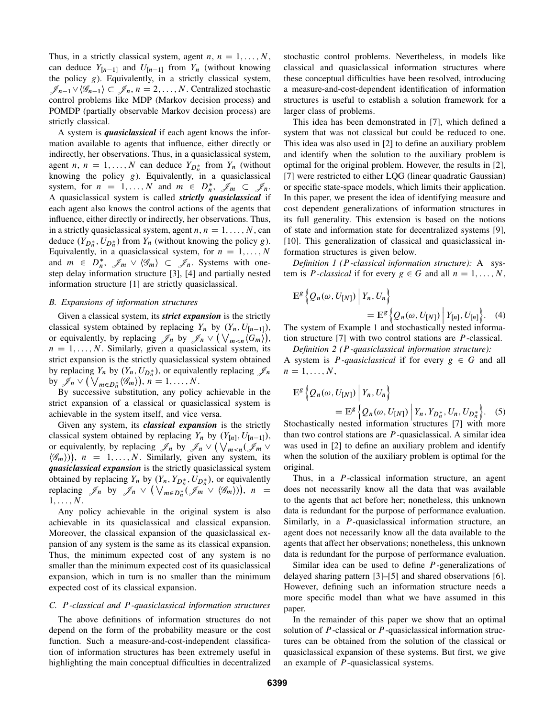Thus, in a strictly classical system, agent  $n, n = 1, \ldots, N$ , can deduce  $Y_{[n-1]}$  and  $U_{[n-1]}$  from  $Y_n$  (without knowing the policy g). Equivalently, in a strictly classical system,  $\mathscr{J}_{n-1}\vee \langle \mathscr{G}_{n-1}\rangle \subset \mathscr{J}_n$ ,  $n = 2, \ldots, N$ . Centralized stochastic control problems like MDP (Markov decision process) and POMDP (partially observable Markov decision process) are strictly classical.

A system is *quasiclassical* if each agent knows the information available to agents that influence, either directly or indirectly, her observations. Thus, in a quasiclassical system, agent *n*,  $n = 1, ..., N$  can deduce  $Y_{D_n^*}$  from  $Y_n$  (without knowing the policy  $g$ ). Equivalently, in a quasiclassical system, for  $n = 1, ..., N$  and  $m \in D_n^*$ ,  $\mathscr{J}_m \subset \mathscr{J}_n$ . A quasiclassical system is called *strictly quasiclassical* if each agent also knows the control actions of the agents that influence, either directly or indirectly, her observations. Thus, in a strictly quasiclassical system, agent  $n, n = 1, \ldots, N$ , can deduce  $(Y_{D_n^*}, U_{D_n^*})$  from  $Y_n$  (without knowing the policy g). Equivalently, in a quasiclassical system, for  $n = 1, ..., N$ and  $m \in D_n^*$ ,  $\mathscr{J}_m \vee \langle \mathscr{G}_m \rangle \subset \mathscr{J}_n$ . Systems with onestep delay information structure [3], [4] and partially nested information structure [1] are strictly quasiclassical.

### *B. Expansions of information structures*

Given a classical system, its *strict expansion* is the strictly classical system obtained by replacing  $Y_n$  by  $(Y_n, U_{n-1}),$ or equivalently, by replacing  $\mathscr{J}_n$  by  $\mathscr{J}_n \vee (\bigvee_{m \leq n} \langle G_m \rangle)$ ,  $n = 1, \ldots, N$ . Similarly, given a quasiclassical system, its strict expansion is the strictly quasiclassical system obtained by replacing  $Y_n$  by  $(Y_n, U_{D_n^*})$ , or equivalently replacing  $\mathscr{J}_n$ by  $\mathscr{J}_n \vee (\bigvee_{m \in D_n^*} \langle \mathscr{G}_m \rangle), n = 1, ..., N.$ 

By successive substitution, any policy achievable in the strict expansion of a classical or quasiclassical system is achievable in the system itself, and vice versa.

Given any system, its *classical expansion* is the strictly classical system obtained by replacing  $Y_n$  by  $(Y_{[n]}, U_{[n-1]}),$ or equivalently, by replacing  $\mathscr{J}_n$  by  $\mathscr{J}_n \vee (\bigvee_{m < n} (\mathscr{J}_m \vee$  $(\mathscr{G}_m))$ ,  $n = 1, ..., N$ . Similarly, given any system, its *quasiclassical expansion* is the strictly quasiclassical system obtained by replacing  $Y_n$  by  $(Y_n, Y_{D_n^*}, U_{D_n^*})$ , or equivalently replacing  $\mathscr{J}_n$  by  $\mathscr{J}_n \vee (\bigvee_{m \in D_n^*} (\mathscr{J}_m \vee \langle \mathscr{G}_m \rangle)), n =$  $1, \ldots, N$ .

Any policy achievable in the original system is also achievable in its quasiclassical and classical expansion. Moreover, the classical expansion of the quasiclassical expansion of any system is the same as its classical expansion. Thus, the minimum expected cost of any system is no smaller than the minimum expected cost of its quasiclassical expansion, which in turn is no smaller than the minimum expected cost of its classical expansion.

#### *C.* P*-classical and* P*-quasiclassical information structures*

The above definitions of information structures do not depend on the form of the probability measure or the cost function. Such a measure-and-cost-independent classification of information structures has been extremely useful in highlighting the main conceptual difficulties in decentralized stochastic control problems. Nevertheless, in models like classical and quasiclassical information structures where these conceptual difficulties have been resolved, introducing a measure-and-cost-dependent identification of information structures is useful to establish a solution framework for a larger class of problems.

This idea has been demonstrated in [7], which defined a system that was not classical but could be reduced to one. This idea was also used in [2] to define an auxiliary problem and identify when the solution to the auxiliary problem is optimal for the original problem. However, the results in [2], [7] were restricted to either LQG (linear quadratic Gaussian) or specific state-space models, which limits their application. In this paper, we present the idea of identifying measure and cost dependent generalizations of information structures in its full generality. This extension is based on the notions of state and information state for decentralized systems [9], [10]. This generalization of classical and quasiclassical information structures is given below.

*Definition 1 (*P*-classical information structure):* A system is *P*-classical if for every  $g \in G$  and all  $n = 1, ..., N$ ,

$$
\mathbb{E}^{g} \left\{ Q_{n}(\omega, U_{[N]}) \middle| Y_{n}, U_{n} \right\} = \mathbb{E}^{g} \left\{ Q_{n}(\omega, U_{[N]}) \middle| Y_{[n]}, U_{[n]} \right\}. \tag{4}
$$

The system of Example 1 and stochastically nested information structure  $[7]$  with two control stations are  $P$ -classical.

*Definition 2 (*P*-quasiclassical information structure):* A system is *P*-quasiclassical if for every  $g \in G$  and all  $n = 1, \ldots, N$ ,

$$
\mathbb{E}^{g} \left\{ Q_{n}(\omega, U_{[N]}) \middle| Y_{n}, U_{n} \right\} \n= \mathbb{E}^{g} \left\{ Q_{n}(\omega, U_{[N]}) \middle| Y_{n}, Y_{D_{n}^{*}}, U_{n}, U_{D_{n}^{*}} \right\}.
$$
\n(5)

Stochastically nested information structures [7] with more than two control stations are  $P$ -quasiclassical. A similar idea was used in [2] to define an auxiliary problem and identify when the solution of the auxiliary problem is optimal for the original.

Thus, in a P-classical information structure, an agent does not necessarily know all the data that was available to the agents that act before her; nonetheless, this unknown data is redundant for the purpose of performance evaluation. Similarly, in a P-quasiclassical information structure, an agent does not necessarily know all the data available to the agents that affect her observations; nonetheless, this unknown data is redundant for the purpose of performance evaluation.

Similar idea can be used to define P-generalizations of delayed sharing pattern [3]–[5] and shared observations [6]. However, defining such an information structure needs a more specific model than what we have assumed in this paper.

In the remainder of this paper we show that an optimal solution of P-classical or P-quasiclassical information structures can be obtained from the solution of the classical or quasiclassical expansion of these systems. But first, we give an example of P-quasiclassical systems.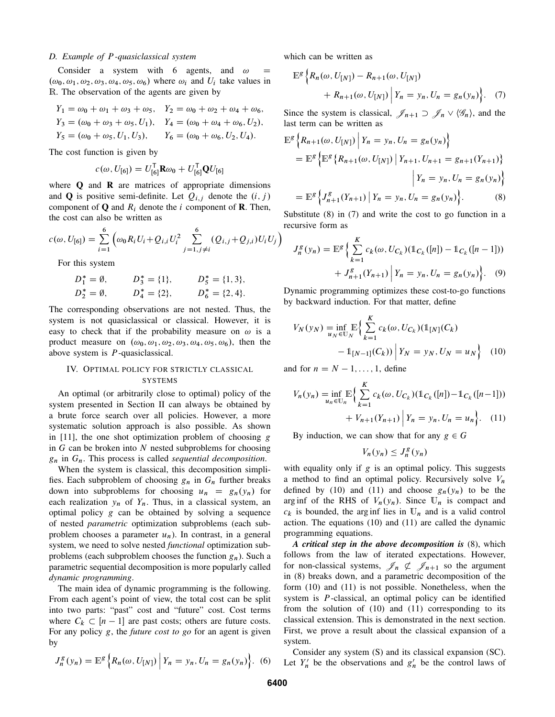## *D. Example of* P*-quasiclassical system*

Consider a system with 6 agents, and  $\omega$  =  $(\omega_0, \omega_1, \omega_2, \omega_3, \omega_4, \omega_5, \omega_6)$  where  $\omega_i$  and  $U_i$  take values in R. The observation of the agents are given by

$$
Y_1 = \omega_0 + \omega_1 + \omega_3 + \omega_5, \quad Y_2 = \omega_0 + \omega_2 + \omega_4 + \omega_6,
$$
  
\n
$$
Y_3 = (\omega_0 + \omega_3 + \omega_5, U_1), \quad Y_4 = (\omega_0 + \omega_4 + \omega_6, U_2),
$$
  
\n
$$
Y_5 = (\omega_0 + \omega_5, U_1, U_3), \quad Y_6 = (\omega_0 + \omega_6, U_2, U_4).
$$

The cost function is given by

$$
c(\omega, U_{[6]}) = U_{[6]}^{\mathsf{T}} \mathbf{R} \omega_0 + U_{[6]}^{\mathsf{T}} \mathbf{Q} U_{[6]}
$$

where  $Q$  and  $R$  are matrices of appropriate dimensions and **Q** is positive semi-definite. Let  $Q_{i,j}$  denote the  $(i, j)$ component of **Q** and  $R_i$  denote the i component of **R**. Then, the cost can also be written as

$$
c(\omega, U_{[6]}) = \sum_{i=1}^{6} \left( \omega_0 R_i U_i + Q_{i,i} U_i^2 \sum_{j=1, j \neq i}^{6} (Q_{i,j} + Q_{j,i}) U_i U_j \right)
$$

For this system

$$
D_1^* = \emptyset, \t D_3^* = \{1\}, \t D_5^* = \{1, 3\},
$$
  
\n
$$
D_2^* = \emptyset, \t D_4^* = \{2\}, \t D_6^* = \{2, 4\}.
$$

The corresponding observations are not nested. Thus, the system is not quasiclassical or classical. However, it is easy to check that if the probability measure on  $\omega$  is a product measure on  $(\omega_0, \omega_1, \omega_2, \omega_3, \omega_4, \omega_5, \omega_6)$ , then the above system is P-quasiclassical.

# IV. OPTIMAL POLICY FOR STRICTLY CLASSICAL **SYSTEMS**

An optimal (or arbitrarily close to optimal) policy of the system presented in Section II can always be obtained by a brute force search over all policies. However, a more systematic solution approach is also possible. As shown in  $[11]$ , the one shot optimization problem of choosing g in  $G$  can be broken into  $N$  nested subproblems for choosing g<sup>n</sup> in Gn. This process is called *sequential decomposition*.

When the system is classical, this decomposition simplifies. Each subproblem of choosing  $g_n$  in  $G_n$  further breaks down into subproblems for choosing  $u_n = g_n(y_n)$  for each realization  $y_n$  of  $Y_n$ . Thus, in a classical system, an optimal policy g can be obtained by solving a sequence of nested *parametric* optimization subproblems (each subproblem chooses a parameter  $u_n$ ). In contrast, in a general system, we need to solve nested *functional* optimization subproblems (each subproblem chooses the function  $g_n$ ). Such a parametric sequential decomposition is more popularly called *dynamic programming*.

The main idea of dynamic programming is the following. From each agent's point of view, the total cost can be split into two parts: "past" cost and "future" cost. Cost terms where  $C_k \subset [n-1]$  are past costs; others are future costs. For any policy g, the *future cost to go* for an agent is given by

$$
J_n^g(y_n) = \mathbb{E}^g\Big\{R_n(\omega, U_{[N]})\Big| Y_n = y_n, U_n = g_n(y_n)\Big\}.
$$
 (6)

which can be written as

$$
\mathbb{E}^{g} \Big\{ R_n(\omega, U_{[N]}) - R_{n+1}(\omega, U_{[N]}) + R_{n+1}(\omega, U_{[N]}) \Big| Y_n = y_n, U_n = g_n(y_n) \Big\}. \tag{7}
$$

Since the system is classical,  $\mathscr{J}_{n+1} \supset \mathscr{J}_n \vee \langle \mathscr{G}_n \rangle$ , and the last term can be written as

$$
\mathbb{E}^{g} \Big\{ R_{n+1}(\omega, U_{[N]}) \Big| Y_{n} = y_{n}, U_{n} = g_{n}(y_{n}) \Big\}
$$
  
= 
$$
\mathbb{E}^{g} \Big\{ \mathbb{E}^{g} \Big\{ R_{n+1}(\omega, U_{[N]}) \Big| Y_{n+1}, U_{n+1} = g_{n+1}(Y_{n+1}) \Big\}
$$
  

$$
\Big| Y_{n} = y_{n}, U_{n} = g_{n}(y_{n}) \Big\}
$$
  
= 
$$
\mathbb{E}^{g} \Big\{ J_{n+1}^{g}(Y_{n+1}) \Big| Y_{n} = y_{n}, U_{n} = g_{n}(y_{n}) \Big\}.
$$
 (8)

Substitute (8) in (7) and write the cost to go function in a recursive form as

$$
J_n^g(y_n) = \mathbb{E}^g \Big\{ \sum_{k=1}^K c_k(\omega, U_{C_k})(\mathbb{1}_{C_k}([n]) - \mathbb{1}_{C_k}([n-1])) + J_{n+1}^g(Y_{n+1}) \Big| Y_n = y_n, U_n = g_n(y_n) \Big\}. \tag{9}
$$

Dynamic programming optimizes these cost-to-go functions by backward induction. For that matter, define

$$
V_N(y_N) = \inf_{u_N \in U_N} \mathbb{E} \Big\{ \sum_{k=1}^K c_k(\omega, U_{C_k})(1_{[N]}(C_k) - 1_{[N-1]}(C_k)) \Big| Y_N = y_N, U_N = u_N \Big\} \quad (10)
$$

and for  $n = N - 1, \ldots, 1$ , define

$$
V_n(y_n) = \inf_{u_n \in \mathbb{U}_n} \mathbb{E} \Big\{ \sum_{k=1}^K c_k(\omega, U_{C_k})(1 \mathbb{1}_{C_k}([n]) - 1 \mathbb{1}_{C_k}([n-1])) + V_{n+1}(Y_{n+1}) \Big| Y_n = y_n, U_n = u_n \Big\}. \tag{11}
$$

By induction, we can show that for any  $g \in G$ 

$$
V_n(y_n) \leq J_n^g(y_n)
$$

with equality only if  $g$  is an optimal policy. This suggests a method to find an optimal policy. Recursively solve  $V_n$ defined by (10) and (11) and choose  $g_n(y_n)$  to be the arg inf of the RHS of  $V_n(y_n)$ . Since  $\mathbb{U}_n$  is compact and  $c_k$  is bounded, the arg inf lies in  $\mathbb{U}_n$  and is a valid control action. The equations (10) and (11) are called the dynamic programming equations.

*A critical step in the above decomposition is* (8), which follows from the law of iterated expectations. However, for non-classical systems,  $\mathscr{J}_n \not\subset \mathscr{J}_{n+1}$  so the argument in (8) breaks down, and a parametric decomposition of the form (10) and (11) is not possible. Nonetheless, when the system is P-classical, an optimal policy can be identified from the solution of (10) and (11) corresponding to its classical extension. This is demonstrated in the next section. First, we prove a result about the classical expansion of a system.

Consider any system (S) and its classical expansion (SC). Let  $Y'_n$  be the observations and  $g'_n$  be the control laws of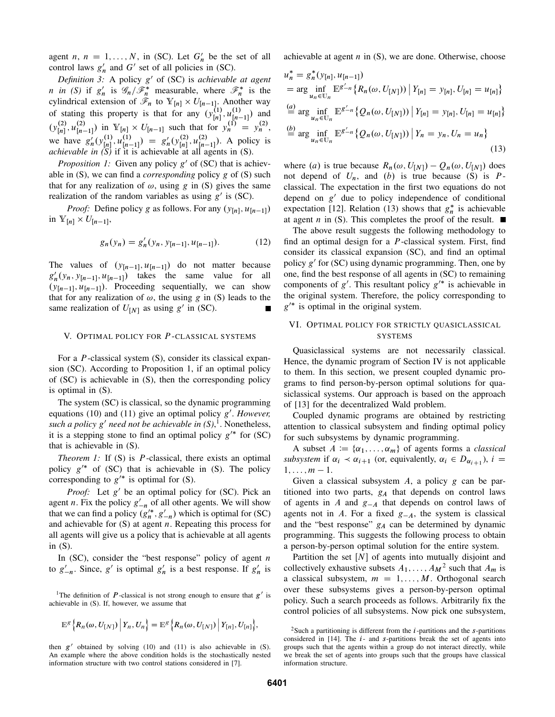agent *n*,  $n = 1, ..., N$ , in (SC). Let  $G'_n$  be the set of all control laws  $g'_n$  and  $G'$  set of all policies in (SC).

Definition 3: A policy g' of (SC) is *achievable at agent n* in (S) if  $g'_n$  is  $\mathcal{G}_n/\mathcal{F}_n^*$  measurable, where  $\mathcal{F}_n^*$  is the cylindrical extension of  $\mathcal{F}_n$  to  $\mathbb{Y}_{[n]} \times U_{[n-1]}$ . Another way of stating this property is that for any  $(y_{[n]}^{(1)}, u_{[n-1]}^{(1)})$  and  $(y_{[n]}^{(2)}, u_{[n-1]}^{(2)})$  in  $\mathbb{Y}_{[n]} \times U_{[n-1]}$  such that for  $y_n^{(1)} = y_n^{(2)}$ , we have  $g'_n(y_{[n]}^{(1)}, u_{[n-1]}^{(1)}) = g'_n(y_{[n]}^{(2)}, u_{[n-1]}^{(2)})$ . A policy is *achievable in (S)* if it is achievable at all agents in (S).

*Proposition 1:* Given any policy  $g'$  of (SC) that is achievable in (S), we can find a *corresponding* policy g of (S) such that for any realization of  $\omega$ , using g in (S) gives the same realization of the random variables as using  $g'$  is (SC).

*Proof:* Define policy g as follows. For any  $(y_{[n]}, u_{[n-1]})$ in  $\mathbb{Y}_{[n]} \times U_{[n-1]},$ 

$$
g_n(y_n) = g'_n(y_n, y_{[n-1]}, u_{[n-1]}).
$$
 (12)

The values of  $(y_{[n-1]}, u_{[n-1]})$  do not matter because  $g'_n(y_n, y_{[n-1]}, u_{[n-1]})$  takes the same value for all  $(y[n-1], u[n-1])$ . Proceeding sequentially, we can show that for any realization of  $\omega$ , the using g in (S) leads to the same realization of  $U_{[N]}$  as using g' in (SC).

### V. OPTIMAL POLICY FOR P-CLASSICAL SYSTEMS

For a P-classical system (S), consider its classical expansion (SC). According to Proposition 1, if an optimal policy of (SC) is achievable in (S), then the corresponding policy is optimal in (S).

The system (SC) is classical, so the dynamic programming equations (10) and (11) give an optimal policy g'. However, such a policy  $g'$  need not be achievable in  $(S)$ ,<sup>1</sup>. Nonetheless, it is a stepping stone to find an optimal policy  $g'^*$  for (SC) that is achievable in (S).

*Theorem 1:* If (S) is *P*-classical, there exists an optimal policy  $g'^*$  of (SC) that is achievable in (S). The policy corresponding to  $g'^*$  is optimal for (S).

Proof: Let g' be an optimal policy for (SC). Pick an agent *n*. Fix the policy  $g'_{-n}$  of all other agents. We will show that we can find a policy  $(g_n^{\prime*}, g_{-n}^{\prime})$  which is optimal for (SC) and achievable for  $(S)$  at agent *n*. Repeating this process for all agents will give us a policy that is achievable at all agents in (S).

In (SC), consider the "best response" policy of agent  $n$ to  $g'_{-n}$ . Since, g' is optimal  $g'_{n}$  is a best response. If  $g'_{n}$  is

<sup>1</sup>The definition of P-classical is not strong enough to ensure that  $g'$  is achievable in (S). If, however, we assume that

$$
\mathbb{E}^{g}\left\{R_n(\omega,U_{[N]})\,\bigg|\,Y_n,U_n\right\}=\mathbb{E}^{g}\left\{R_n(\omega,U_{[N]})\,\bigg|\,Y_{[n]},U_{[n]}\right\},\right\}
$$

then  $g'$  obtained by solving (10) and (11) is also achievable in (S). An example where the above condition holds is the stochastically nested information structure with two control stations considered in [7].

achievable at agent  $n$  in  $(S)$ , we are done. Otherwise, choose

$$
u_n^* = g_n^*(y_{[n]}, u_{[n-1]})
$$
  
= arg  $\inf_{u_n \in U_n} \mathbb{E}^{g'_{-n}} \{R_n(\omega, U_{[N]})) | Y_{[n]} = y_{[n]}, U_{[n]} = u_{[n]} \}$   

$$
\stackrel{(a)}{=} \arg \inf_{u_n \in U_n} \mathbb{E}^{g'_{-n}} \{Q_n(\omega, U_{[N]})) | Y_{[n]} = y_{[n]}, U_{[n]} = u_{[n]} \}
$$
  

$$
\stackrel{(b)}{=} \arg \inf_{u_n \in U_n} \mathbb{E}^{g'_{-n}} \{Q_n(\omega, U_{[N]})) | Y_n = y_n, U_n = u_n \}
$$
  
(13)

where (a) is true because  $R_n(\omega, U_{[N]}) - Q_n(\omega, U_{[N]})$  does not depend of  $U_n$ , and (b) is true because (S) is Pclassical. The expectation in the first two equations do not depend on  $g'$  due to policy independence of conditional expectation [12]. Relation (13) shows that  $g_n^*$  is achievable at agent *n* in (S). This completes the proof of the result.  $\blacksquare$ 

The above result suggests the following methodology to find an optimal design for a P-classical system. First, find consider its classical expansion (SC), and find an optimal policy g' for (SC) using dynamic programming. Then, one by one, find the best response of all agents in (SC) to remaining components of  $g'$ . This resultant policy  $g'^*$  is achievable in the original system. Therefore, the policy corresponding to  $g^{\prime*}$  is optimal in the original system.

# VI. OPTIMAL POLICY FOR STRICTLY QUASICLASSICAL SYSTEMS

Quasiclassical systems are not necessarily classical. Hence, the dynamic program of Section IV is not applicable to them. In this section, we present coupled dynamic programs to find person-by-person optimal solutions for quasiclassical systems. Our approach is based on the approach of [13] for the decentralized Wald problem.

Coupled dynamic programs are obtained by restricting attention to classical subsystem and finding optimal policy for such subsystems by dynamic programming.

A subset  $A := \{\alpha_1, \ldots, \alpha_m\}$  of agents forms a *classical subsystem* if  $\alpha_i \prec \alpha_{i+1}$  (or, equivalently,  $\alpha_i \in D_{\alpha_{i+1}}$ ),  $i =$  $1, \ldots, m - 1.$ 

Given a classical subsystem  $A$ , a policy  $g$  can be partitioned into two parts,  $g_A$  that depends on control laws of agents in A and  $g_A$  that depends on control laws of agents not in A. For a fixed  $g_{-A}$ , the system is classical and the "best response"  $g_A$  can be determined by dynamic programming. This suggests the following process to obtain a person-by-person optimal solution for the entire system.

Partition the set  $[N]$  of agents into mutually disjoint and collectively exhaustive subsets  $A_1, \ldots, A_M^2$  such that  $A_m$  is a classical subsystem,  $m = 1, \ldots, M$ . Orthogonal search over these subsystems gives a person-by-person optimal policy. Such a search proceeds as follows. Arbitrarily fix the control policies of all subsystems. Now pick one subsystem,

<sup>&</sup>lt;sup>2</sup>Such a partitioning is different from the  $i$ -partitions and the  $s$ -partitions considered in  $[14]$ . The  $i$ - and  $s$ -partitions break the set of agents into groups such that the agents within a group do not interact directly, while we break the set of agents into groups such that the groups have classical information structure.